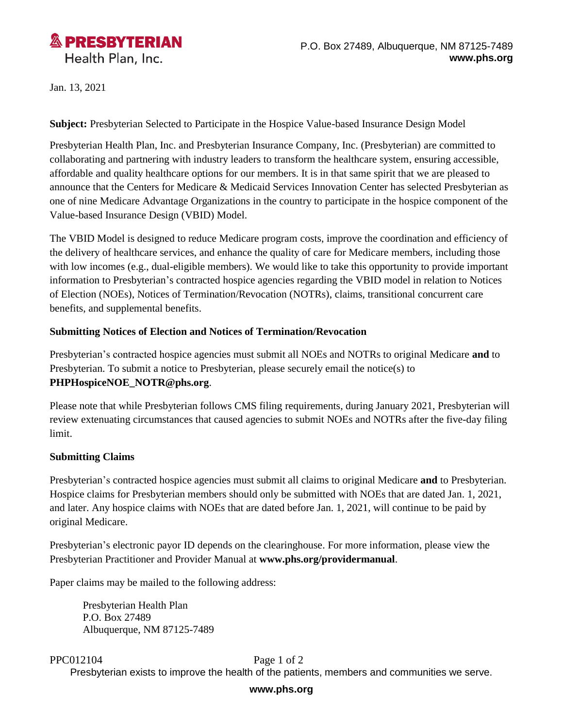

Jan. 13, 2021

**Subject:** Presbyterian Selected to Participate in the Hospice Value-based Insurance Design Model

Presbyterian Health Plan, Inc. and Presbyterian Insurance Company, Inc. (Presbyterian) are committed to collaborating and partnering with industry leaders to transform the healthcare system, ensuring accessible, affordable and quality healthcare options for our members. It is in that same spirit that we are pleased to announce that the Centers for Medicare & Medicaid Services Innovation Center has selected Presbyterian as one of nine Medicare Advantage Organizations in the country to participate in the hospice component of the Value-based Insurance Design (VBID) Model.

The VBID Model is designed to reduce Medicare program costs, improve the coordination and efficiency of the delivery of healthcare services, and enhance the quality of care for Medicare members, including those with low incomes (e.g., dual-eligible members). We would like to take this opportunity to provide important information to Presbyterian's contracted hospice agencies regarding the VBID model in relation to Notices of Election (NOEs), Notices of Termination/Revocation (NOTRs), claims, transitional concurrent care benefits, and supplemental benefits.

### **Submitting Notices of Election and Notices of Termination/Revocation**

Presbyterian's contracted hospice agencies must submit all NOEs and NOTRs to original Medicare **and** to Presbyterian. To submit a notice to Presbyterian, please securely email the notice(s) to **PHPHospiceNOE\_NOTR@phs.org**.

Please note that while Presbyterian follows CMS filing requirements, during January 2021, Presbyterian will review extenuating circumstances that caused agencies to submit NOEs and NOTRs after the five-day filing limit.

### **Submitting Claims**

Presbyterian's contracted hospice agencies must submit all claims to original Medicare **and** to Presbyterian. Hospice claims for Presbyterian members should only be submitted with NOEs that are dated Jan. 1, 2021, and later. Any hospice claims with NOEs that are dated before Jan. 1, 2021, will continue to be paid by original Medicare.

Presbyterian's electronic payor ID depends on the clearinghouse. For more information, please view the Presbyterian Practitioner and Provider Manual at **www.phs.org/providermanual**.

Paper claims may be mailed to the following address:

Presbyterian Health Plan P.O. Box 27489 Albuquerque, NM 87125-7489

PPC012104 Page 1 of 2 Presbyterian exists to improve the health of the patients, members and communities we serve.

#### **www.phs.org**